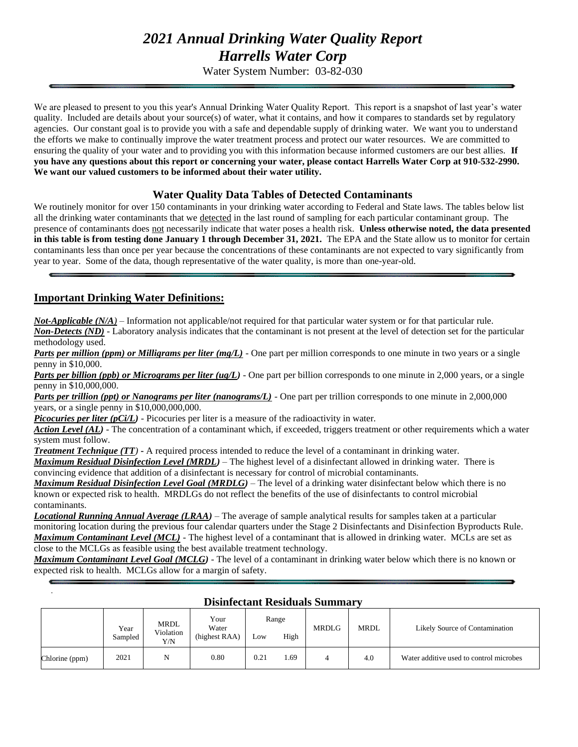# *2021 Annual Drinking Water Quality Report Harrells Water Corp*

Water System Number: 03-82-030

We are pleased to present to you this year's Annual Drinking Water Quality Report. This report is a snapshot of last year's water quality. Included are details about your source(s) of water, what it contains, and how it compares to standards set by regulatory agencies. Our constant goal is to provide you with a safe and dependable supply of drinking water. We want you to understand the efforts we make to continually improve the water treatment process and protect our water resources. We are committed to ensuring the quality of your water and to providing you with this information because informed customers are our best allies. **If you have any questions about this report or concerning your water, please contact Harrells Water Corp at 910-532-2990. We want our valued customers to be informed about their water utility.** 

# **Water Quality Data Tables of Detected Contaminants**

We routinely monitor for over 150 contaminants in your drinking water according to Federal and State laws. The tables below list all the drinking water contaminants that we detected in the last round of sampling for each particular contaminant group. The presence of contaminants does not necessarily indicate that water poses a health risk. **Unless otherwise noted, the data presented in this table is from testing done January 1 through December 31, 2021.** The EPA and the State allow us to monitor for certain contaminants less than once per year because the concentrations of these contaminants are not expected to vary significantly from year to year. Some of the data, though representative of the water quality, is more than one-year-old.

# **Important Drinking Water Definitions:**

.

*Not-Applicable (N/A)* – Information not applicable/not required for that particular water system or for that particular rule.

*Non-Detects (ND)* - Laboratory analysis indicates that the contaminant is not present at the level of detection set for the particular methodology used.

*Parts per million (ppm) or Milligrams per liter (mg/L)* - One part per million corresponds to one minute in two years or a single penny in \$10,000.

*Parts per billion (ppb) or Micrograms per liter (ug/L)* - One part per billion corresponds to one minute in 2,000 years, or a single penny in \$10,000,000.

*Parts per trillion (ppt) or Nanograms per liter (nanograms/L)* - One part per trillion corresponds to one minute in 2,000,000 years, or a single penny in \$10,000,000,000.

*Picocuries per liter (pCi/L)* - Picocuries per liter is a measure of the radioactivity in water.

*Action Level (AL) -* The concentration of a contaminant which, if exceeded, triggers treatment or other requirements which a water system must follow.

*Treatment Technique (TT)* **-** A required process intended to reduce the level of a contaminant in drinking water. *Maximum Residual Disinfection Level (MRDL)* – The highest level of a disinfectant allowed in drinking water. There is

convincing evidence that addition of a disinfectant is necessary for control of microbial contaminants.

*Maximum Residual Disinfection Level Goal (MRDLG)* – The level of a drinking water disinfectant below which there is no known or expected risk to health. MRDLGs do not reflect the benefits of the use of disinfectants to control microbial contaminants.

*Locational Running Annual Average (LRAA)* – The average of sample analytical results for samples taken at a particular monitoring location during the previous four calendar quarters under the Stage 2 Disinfectants and Disinfection Byproducts Rule. *Maximum Contaminant Level (MCL)* - The highest level of a contaminant that is allowed in drinking water. MCLs are set as close to the MCLGs as feasible using the best available treatment technology.

*Maximum Contaminant Level Goal (MCLG)* - The level of a contaminant in drinking water below which there is no known or expected risk to health. MCLGs allow for a margin of safety.

| Disinieciani Residuais Summary |                 |                          |                                |      |               |              |             |                                         |
|--------------------------------|-----------------|--------------------------|--------------------------------|------|---------------|--------------|-------------|-----------------------------------------|
|                                | Year<br>Sampled | MRDL<br>Violation<br>Y/N | Your<br>Water<br>(highest RAA) | Low  | Range<br>High | <b>MRDLG</b> | <b>MRDL</b> | Likely Source of Contamination          |
| Chlorine (ppm)                 | 2021            |                          | 0.80                           | 0.21 | 1.69          |              | 4.0         | Water additive used to control microbes |

### **Disinfectant Residuals Summary**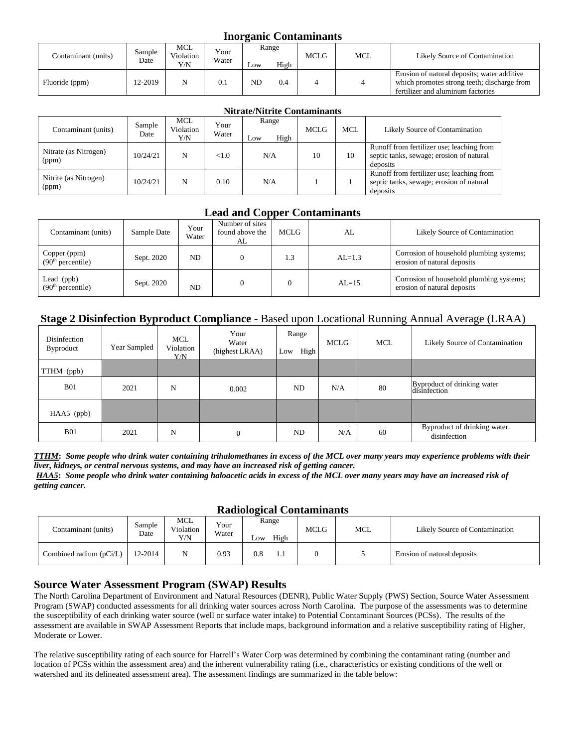#### **Inorganic Contaminants**

| Contaminant (units) | Sample<br>Date | MCL<br>Violation<br>Y/N | $v_{\text{our}}$<br>Water | LOW            | Range<br>High | <b>MCLG</b> | <b>MCL</b> | Likely Source of Contamination                                                                                                  |
|---------------------|----------------|-------------------------|---------------------------|----------------|---------------|-------------|------------|---------------------------------------------------------------------------------------------------------------------------------|
| Fluoride (ppm)      | 12-2019        |                         | 0.1                       | ND <sub></sub> | 0.4           |             |            | Erosion of natural deposits; water additive<br>which promotes strong teeth; discharge from<br>fertilizer and aluminum factories |

|                                |                |                                |               | <b>Nitrate/Nitrite Contaminants</b> |             |            |                                                                                                   |
|--------------------------------|----------------|--------------------------------|---------------|-------------------------------------|-------------|------------|---------------------------------------------------------------------------------------------------|
| Contaminant (units)            | Sample<br>Date | <b>MCL</b><br>Violation<br>Y/N | Your<br>Water | Range<br>High<br>Low                | <b>MCLG</b> | <b>MCL</b> | Likely Source of Contamination                                                                    |
| Nitrate (as Nitrogen)<br>(ppm) | 10/24/21       | N                              | <1.0          | N/A                                 | 10          | 10         | Runoff from fertilizer use; leaching from<br>septic tanks, sewage; erosion of natural<br>deposits |
| Nitrite (as Nitrogen)<br>(ppm) | 10/24/21       | N                              | 0.10          | N/A                                 |             |            | Runoff from fertilizer use; leaching from<br>septic tanks, sewage; erosion of natural<br>deposits |

# **Lead and Copper Contaminants**

| Contaminant (units)                           | Sample Date | Your<br>Water | Number of sites<br>found above the<br>AL | MCLG | AL         | Likely Source of Contamination                                          |
|-----------------------------------------------|-------------|---------------|------------------------------------------|------|------------|-------------------------------------------------------------------------|
| Copper (ppm)<br>(90 <sup>th</sup> percentile) | Sept. 2020  | ND            |                                          | 1.3  | $AI = 1.3$ | Corrosion of household plumbing systems;<br>erosion of natural deposits |
| Lead $(ppb)$<br>(90 <sup>th</sup> percentile) | Sept. 2020  | ND            |                                          |      | $AL=15$    | Corrosion of household plumbing systems;<br>erosion of natural deposits |

# **Stage 2 Disinfection Byproduct Compliance -** Based upon Locational Running Annual Average (LRAA)

| Disinfection<br>Byproduct | Year Sampled | MCL<br>Violation<br>Y/N | Your<br>Water<br>(highest LRAA) | Range<br>High<br>Low | <b>MCLG</b> | <b>MCL</b> | Likely Source of Contamination              |
|---------------------------|--------------|-------------------------|---------------------------------|----------------------|-------------|------------|---------------------------------------------|
| TTHM (ppb)                |              |                         |                                 |                      |             |            |                                             |
| <b>B01</b>                | 2021         | N                       | 0.002                           | <b>ND</b>            | N/A         | 80         | Byproduct of drinking water<br>disinfection |
| HAA5 (ppb)                |              |                         |                                 |                      |             |            |                                             |
| <b>B01</b>                | 2021         | N                       | $\mathbf{0}$                    | ND                   | N/A         | 60         | Byproduct of drinking water<br>disinfection |

*TTHM***:** *Some people who drink water containing trihalomethanes in excess of the MCL over many years may experience problems with their liver, kidneys, or central nervous systems, and may have an increased risk of getting cancer.*

*HAA5***:** *Some people who drink water containing haloacetic acids in excess of the MCL over many years may have an increased risk of getting cancer.*

#### **Radiological Contaminants**

| Contaminant (units)     | Sample<br>Date | <b>MCL</b><br>Violation<br>Y/N | Your<br>Water | o<br>Range<br>High<br>$L$ OW | <b>MCLG</b> | <b>MCL</b> | Likely Source of Contamination |
|-------------------------|----------------|--------------------------------|---------------|------------------------------|-------------|------------|--------------------------------|
| Combined radium (pCi/L) | 12-2014        | N                              | 0.93          | $_{0.8}$                     |             |            | Erosion of natural deposits    |

### **Source Water Assessment Program (SWAP) Results**

The North Carolina Department of Environment and Natural Resources (DENR), Public Water Supply (PWS) Section, Source Water Assessment Program (SWAP) conducted assessments for all drinking water sources across North Carolina. The purpose of the assessments was to determine the susceptibility of each drinking water source (well or surface water intake) to Potential Contaminant Sources (PCSs). The results of the assessment are available in SWAP Assessment Reports that include maps, background information and a relative susceptibility rating of Higher, Moderate or Lower.

The relative susceptibility rating of each source for Harrell's Water Corp was determined by combining the contaminant rating (number and location of PCSs within the assessment area) and the inherent vulnerability rating (i.e., characteristics or existing conditions of the well or watershed and its delineated assessment area). The assessment findings are summarized in the table below: